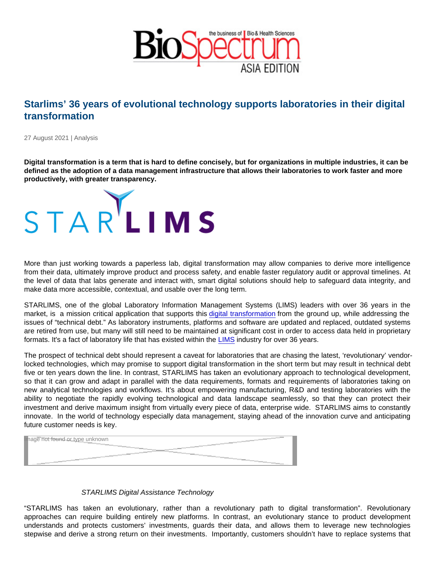## Starlims' 36 years of evolutional technology supports laboratories in their digital transformation

27 August 2021 | Analysis

Digital transformation is a term that is hard to define concisely, but for organizations in multiple industries, it can be defined as the adoption of a data management infrastructure that allows their laboratories to work faster and more productively, with greater transparency.

More than just working towards a paperless lab, digital transformation may allow companies to derive more intelligence from their data, ultimately improve product and process safety, and enable faster regulatory audit or approval timelines. At the level of data that labs generate and interact with, smart digital solutions should help to safeguard data integrity, and make data more accessible, contextual, and usable over the long term.

STARLIMS, one of the global Laboratory Information Management Systems (LIMS) leaders with over 36 years in the market, is a mission critical application that supports this [digital transformation](https://www.informatics.abbott/shared/digital-transformation-in-qa-qc-labs-whitepaper.pdf) from the ground up, while addressing the issues of "technical debt." As laboratory instruments, platforms and software are updated and replaced, outdated systems are retired from use, but many will still need to be maintained at significant cost in order to access data held in proprietary formats. It's a fact of laboratory life that has existed within the [LIMS](https://www.informatics.abbott/int/en/offerings/lims) industry for over 36 years.

The prospect of technical debt should represent a caveat for laboratories that are chasing the latest, 'revolutionary' vendorlocked technologies, which may promise to support digital transformation in the short term but may result in technical debt five or ten years down the line. In contrast, STARLIMS has taken an evolutionary approach to technological development, so that it can grow and adapt in parallel with the data requirements, formats and requirements of laboratories taking on new analytical technologies and workflows. It's about empowering manufacturing, R&D and testing laboratories with the ability to negotiate the rapidly evolving technological and data landscape seamlessly, so that they can protect their investment and derive maximum insight from virtually every piece of data, enterprise wide. STARLIMS aims to constantly innovate. In the world of technology especially data management, staying ahead of the innovation curve and anticipating future customer needs is key.

Image not found or type unknown

## STARLIMS Digital Assistance Technology

"STARLIMS has taken an evolutionary, rather than a revolutionary path to digital transformation". Revolutionary approaches can require building entirely new platforms. In contrast, an evolutionary stance to product development understands and protects customers' investments, guards their data, and allows them to leverage new technologies stepwise and derive a strong return on their investments. Importantly, customers shouldn't have to replace systems that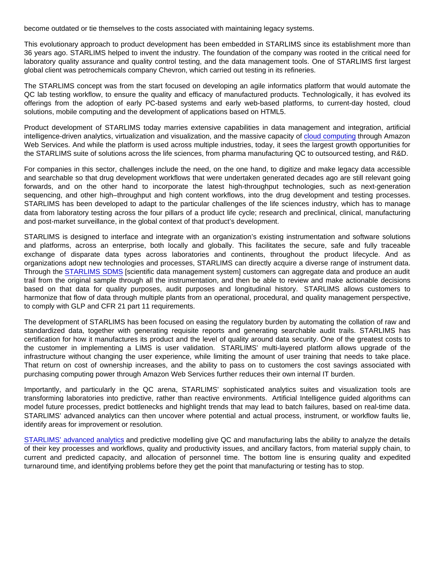become outdated or tie themselves to the costs associated with maintaining legacy systems.

This evolutionary approach to product development has been embedded in STARLIMS since its establishment more than 36 years ago. STARLIMS helped to invent the industry. The foundation of the company was rooted in the critical need for laboratory quality assurance and quality control testing, and the data management tools. One of STARLIMS first largest global client was petrochemicals company Chevron, which carried out testing in its refineries.

The STARLIMS concept was from the start focused on developing an agile informatics platform that would automate the QC lab testing workflow, to ensure the quality and efficacy of manufactured products. Technologically, it has evolved its offerings from the adoption of early PC-based systems and early web-based platforms, to current-day hosted, cloud solutions, mobile computing and the development of applications based on HTML5.

Product development of STARLIMS today marries extensive capabilities in data management and integration, artificial intelligence-driven analytics, virtualization and visualization, and the massive capacity of [cloud computing](https://www.informatics.abbott/shared/peace-of-mind-with-abbott-informatics-cloud-services-whitepaper.pdf) through Amazon Web Services. And while the platform is used across multiple industries, today, it sees the largest growth opportunities for the STARLIMS suite of solutions across the life sciences, from pharma manufacturing QC to outsourced testing, and R&D.

For companies in this sector, challenges include the need, on the one hand, to digitize and make legacy data accessible and searchable so that drug development workflows that were undertaken generated decades ago are still relevant going forwards, and on the other hand to incorporate the latest high-throughput technologies, such as next-generation sequencing, and other high–throughput and high content workflows, into the drug development and testing processes. STARLIMS has been developed to adapt to the particular challenges of the life sciences industry, which has to manage data from laboratory testing across the four pillars of a product life cycle; research and preclinical, clinical, manufacturing and post-market surveillance, in the global context of that product's development.

STARLIMS is designed to interface and integrate with an organization's existing instrumentation and software solutions and platforms, across an enterprise, both locally and globally. This facilitates the secure, safe and fully traceable exchange of disparate data types across laboratories and continents, throughout the product lifecycle. And as organizations adopt new technologies and processes, STARLIMS can directly acquire a diverse range of instrument data. Through the [STARLIMS SDMS](https://www.informatics.abbott/int/en/offerings/sdms) [scientific data management system] customers can aggregate data and produce an audit trail from the original sample through all the instrumentation, and then be able to review and make actionable decisions based on that data for quality purposes, audit purposes and longitudinal history. STARLIMS allows customers to harmonize that flow of data through multiple plants from an operational, procedural, and quality management perspective, to comply with GLP and CFR 21 part 11 requirements.

The development of STARLIMS has been focused on easing the regulatory burden by automating the collation of raw and standardized data, together with generating requisite reports and generating searchable audit trails. STARLIMS has certification for how it manufactures its product and the level of quality around data security. One of the greatest costs to the customer in implementing a LIMS is user validation. STARLIMS' multi-layered platform allows upgrade of the infrastructure without changing the user experience, while limiting the amount of user training that needs to take place. That return on cost of ownership increases, and the ability to pass on to customers the cost savings associated with purchasing computing power through Amazon Web Services further reduces their own internal IT burden.

Importantly, and particularly in the QC arena, STARLIMS' sophisticated analytics suites and visualization tools are transforming laboratories into predictive, rather than reactive environments. Artificial Intelligence guided algorithms can model future processes, predict bottlenecks and highlight trends that may lead to batch failures, based on real-time data. STARLIMS' advanced analytics can then uncover where potential and actual process, instrument, or workflow faults lie, identify areas for improvement or resolution.

[STARLIMS' advanced analytics](https://www.informatics.abbott/int/en/offerings/advanced-analytics) and predictive modelling give QC and manufacturing labs the ability to analyze the details of their key processes and workflows, quality and productivity issues, and ancillary factors, from material supply chain, to current and predicted capacity, and allocation of personnel time. The bottom line is ensuring quality and expedited turnaround time, and identifying problems before they get the point that manufacturing or testing has to stop.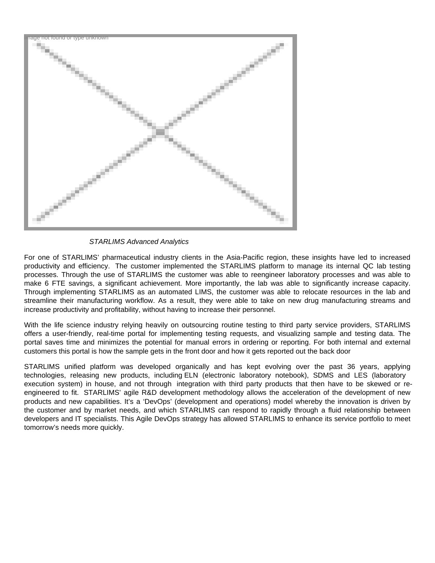

STARLIMS Advanced Analytics

For one of STARLIMS' pharmaceutical industry clients in the Asia-Pacific region, these insights have led to increased productivity and efficiency. The customer implemented the STARLIMS platform to manage its internal QC lab testing processes. Through the use of STARLIMS the customer was able to reengineer laboratory processes and was able to make 6 FTE savings, a significant achievement. More importantly, the lab was able to significantly increase capacity. Through implementing STARLIMS as an automated LIMS, the customer was able to relocate resources in the lab and streamline their manufacturing workflow. As a result, they were able to take on new drug manufacturing streams and increase productivity and profitability, without having to increase their personnel.

With the life science industry relying heavily on outsourcing routine testing to third party service providers, STARLIMS offers a user-friendly, real-time portal for implementing testing requests, and visualizing sample and testing data. The portal saves time and minimizes the potential for manual errors in ordering or reporting. For both internal and external customers this portal is how the sample gets in the front door and how it gets reported out the back door

STARLIMS unified platform was developed organically and has kept evolving over the past 36 years, applying technologies, releasing new products, including ELN (electronic laboratory notebook), SDMS and LES (laboratory execution system) in house, and not through integration with third party products that then have to be skewed or reengineered to fit. STARLIMS' agile R&D development methodology allows the acceleration of the development of new products and new capabilities. It's a 'DevOps' (development and operations) model whereby the innovation is driven by the customer and by market needs, and which STARLIMS can respond to rapidly through a fluid relationship between developers and IT specialists. This Agile DevOps strategy has allowed STARLIMS to enhance its service portfolio to meet tomorrow's needs more quickly.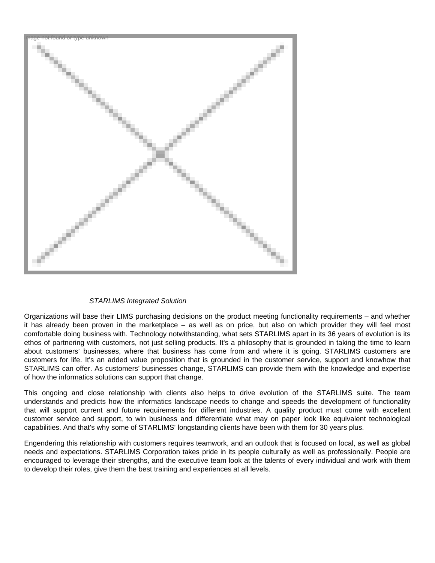

## STARLIMS Integrated Solution

Organizations will base their LIMS purchasing decisions on the product meeting functionality requirements – and whether it has already been proven in the marketplace – as well as on price, but also on which provider they will feel most comfortable doing business with. Technology notwithstanding, what sets STARLIMS apart in its 36 years of evolution is its ethos of partnering with customers, not just selling products. It's a philosophy that is grounded in taking the time to learn about customers' businesses, where that business has come from and where it is going. STARLIMS customers are customers for life. It's an added value proposition that is grounded in the customer service, support and knowhow that STARLIMS can offer. As customers' businesses change, STARLIMS can provide them with the knowledge and expertise of how the informatics solutions can support that change.

This ongoing and close relationship with clients also helps to drive evolution of the STARLIMS suite. The team understands and predicts how the informatics landscape needs to change and speeds the development of functionality that will support current and future requirements for different industries. A quality product must come with excellent customer service and support, to win business and differentiate what may on paper look like equivalent technological capabilities. And that's why some of STARLIMS' longstanding clients have been with them for 30 years plus.

Engendering this relationship with customers requires teamwork, and an outlook that is focused on local, as well as global needs and expectations. STARLIMS Corporation takes pride in its people culturally as well as professionally. People are encouraged to leverage their strengths, and the executive team look at the talents of every individual and work with them to develop their roles, give them the best training and experiences at all levels.